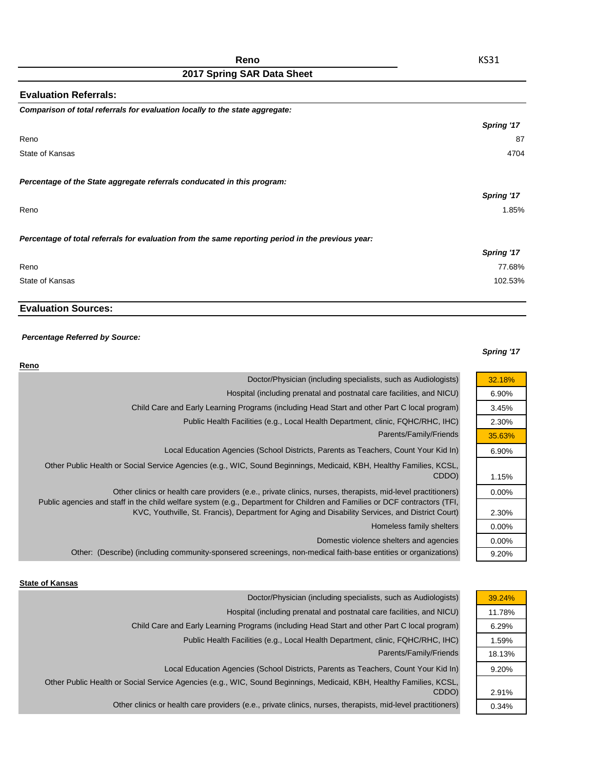## **2017 Spring SAR Data Sheet**

| <b>Evaluation Referrals:</b>                                                                      |            |
|---------------------------------------------------------------------------------------------------|------------|
| Comparison of total referrals for evaluation locally to the state aggregate:                      |            |
|                                                                                                   | Spring '17 |
| Reno                                                                                              | 87         |
| State of Kansas                                                                                   | 4704       |
| Percentage of the State aggregate referrals conducated in this program:                           |            |
|                                                                                                   | Spring '17 |
| Reno                                                                                              | 1.85%      |
| Percentage of total referrals for evaluation from the same reporting period in the previous year: |            |
|                                                                                                   | Spring '17 |
| Reno                                                                                              | 77.68%     |
| State of Kansas                                                                                   | 102.53%    |

### **Evaluation Sources:**

### *Percentage Referred by Source:*

### *Spring '17*

| Reno                                                                                                                                                                                                                           |          |
|--------------------------------------------------------------------------------------------------------------------------------------------------------------------------------------------------------------------------------|----------|
| Doctor/Physician (including specialists, such as Audiologists)                                                                                                                                                                 | 32.18%   |
| Hospital (including prenatal and postnatal care facilities, and NICU)                                                                                                                                                          | 6.90%    |
| Child Care and Early Learning Programs (including Head Start and other Part C local program)                                                                                                                                   | 3.45%    |
| Public Health Facilities (e.g., Local Health Department, clinic, FQHC/RHC, IHC)                                                                                                                                                | 2.30%    |
| Parents/Family/Friends                                                                                                                                                                                                         | 35.63%   |
| Local Education Agencies (School Districts, Parents as Teachers, Count Your Kid In)                                                                                                                                            | 6.90%    |
| Other Public Health or Social Service Agencies (e.g., WIC, Sound Beginnings, Medicaid, KBH, Healthy Families, KCSL,<br>CDDO)                                                                                                   | 1.15%    |
| Other clinics or health care providers (e.e., private clinics, nurses, therapists, mid-level practitioners)                                                                                                                    | $0.00\%$ |
| Public agencies and staff in the child welfare system (e.g., Department for Children and Families or DCF contractors (TFI,<br>KVC, Youthville, St. Francis), Department for Aging and Disability Services, and District Court) | 2.30%    |
| Homeless family shelters                                                                                                                                                                                                       | $0.00\%$ |
| Domestic violence shelters and agencies                                                                                                                                                                                        | $0.00\%$ |
| Other: (Describe) (including community-sponsered screenings, non-medical faith-base entities or organizations)                                                                                                                 | 9.20%    |
|                                                                                                                                                                                                                                |          |

#### **State of Kansas**

| Doctor/Physician (including specialists, such as Audiologists)                                                      | 39.24% |
|---------------------------------------------------------------------------------------------------------------------|--------|
| Hospital (including prenatal and postnatal care facilities, and NICU)                                               | 11.78% |
| Child Care and Early Learning Programs (including Head Start and other Part C local program)                        | 6.29%  |
| Public Health Facilities (e.g., Local Health Department, clinic, FQHC/RHC, IHC)                                     | 1.59%  |
| Parents/Family/Friends                                                                                              | 18.13% |
| Local Education Agencies (School Districts, Parents as Teachers, Count Your Kid In)                                 | 9.20%  |
| Other Public Health or Social Service Agencies (e.g., WIC, Sound Beginnings, Medicaid, KBH, Healthy Families, KCSL, |        |
| CDDO)                                                                                                               | 2.91%  |
| Other clinics or health care providers (e.e., private clinics, nurses, therapists, mid-level practitioners)         | 0.34%  |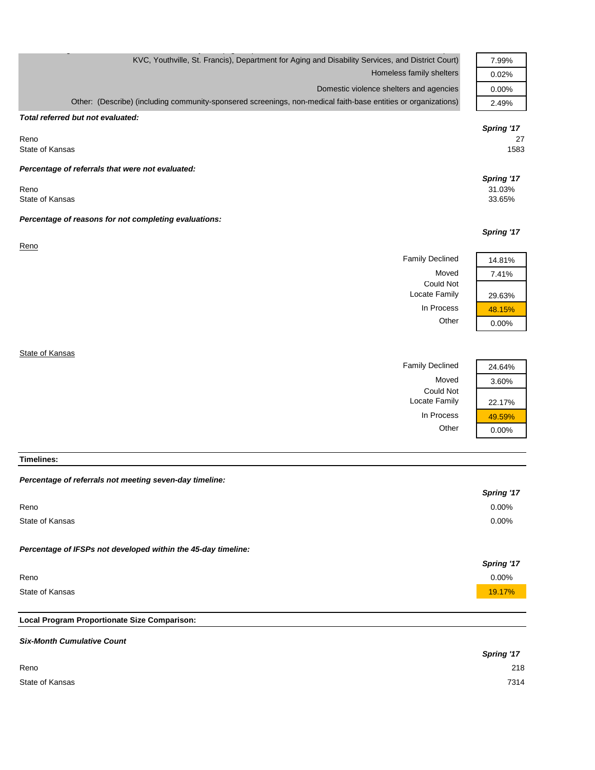| KVC, Youthville, St. Francis), Department for Aging and Disability Services, and District Court)               | 7.99%                |
|----------------------------------------------------------------------------------------------------------------|----------------------|
| Homeless family shelters                                                                                       | 0.02%                |
| Domestic violence shelters and agencies                                                                        | 0.00%                |
| Other: (Describe) (including community-sponsered screenings, non-medical faith-base entities or organizations) | 2.49%                |
| Total referred but not evaluated:                                                                              |                      |
|                                                                                                                | Spring '17           |
| Reno<br>State of Kansas                                                                                        | 27<br>1583           |
|                                                                                                                |                      |
| Percentage of referrals that were not evaluated:                                                               |                      |
| Reno                                                                                                           | Spring '17<br>31.03% |
| State of Kansas                                                                                                | 33.65%               |
| Percentage of reasons for not completing evaluations:                                                          |                      |
|                                                                                                                | Spring '17           |
| Reno                                                                                                           |                      |
| <b>Family Declined</b>                                                                                         | 14.81%               |
| Moved                                                                                                          | 7.41%                |
| <b>Could Not</b>                                                                                               |                      |
| Locate Family                                                                                                  | 29.63%               |
| In Process                                                                                                     | 48.15%               |
| Other                                                                                                          | 0.00%                |
|                                                                                                                |                      |
| State of Kansas                                                                                                |                      |
| <b>Family Declined</b>                                                                                         | 24.64%               |
| Moved                                                                                                          | 3.60%                |
| <b>Could Not</b>                                                                                               |                      |
| Locate Family                                                                                                  | 22.17%               |

**Timelines:**

| Local Program Proportionate Size Comparison:                  |            |
|---------------------------------------------------------------|------------|
|                                                               |            |
| State of Kansas                                               | 19.17%     |
| Reno                                                          | $0.00\%$   |
|                                                               | Spring '17 |
| Percentage of IFSPs not developed within the 45-day timeline: |            |
| State of Kansas                                               | $0.00\%$   |
|                                                               |            |
| Reno                                                          | $0.00\%$   |
|                                                               | Spring '17 |
| Percentage of referrals not meeting seven-day timeline:       |            |

In Process  $\frac{49.59\%}{0.00\%}$ 

 $0.00%$ 

# *Six-Month Cumulative Count Spring '17* Reno 218 State of Kansas 7314